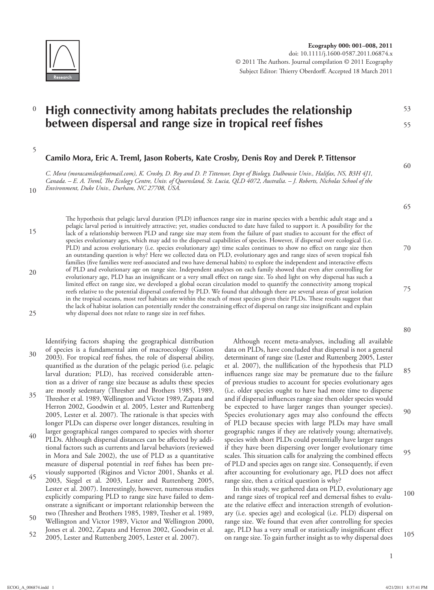

## 0 **High connectivity among habitats precludes the relationship between dispersal and range size in tropical reef fishes**

5

# Camilo Mora, Eric A. Treml, Jason Roberts, Kate Crosby, Denis Roy and Derek P. Tittensor

 *C. Mora ( moracamilo@hotmail.com ), K. Crosby, D. Roy and D. P. Tittensor, Dept of Biology, Dalhousie Univ., Halifax, NS, B3H 4J1,*  Canada. – E. A. Treml, The Ecology Centre, Univ. of Queensland, St. Lucia, QLD 4072, Australia. – J. Roberts, Nicholas School of the *Environment, Duke Univ., Durham, NC 27708, USA.* 

20

25

10

The hypothesis that pelagic larval duration (PLD) influences range size in marine species with a benthic adult stage and a pelagic larval period is intuitively attractive; yet, studies conducted to date have failed to support it. A possibility for the lack of a relationship between PLD and range size may stem from the failure of past studies to account for the effect of species evolutionary ages, which may add to the dispersal capabilities of species. However, if dispersal over ecological (i.e. PLD) and across evolutionary (i.e. species evolutionary age) time scales continues to show no effect on range size then an outstanding question is why? Here we collected data on PLD, evolutionary ages and range sizes of seven tropical fish families (five families were reef-associated and two have demersal habits) to explore the independent and interactive effects of PLD and evolutionary age on range size. Independent analyses on each family showed that even after controlling for evolutionary age, PLD has an insignificant or a very small effect on range size. To shed light on why dispersal has such a limited effect on range size, we developed a global ocean circulation model to quantify the connectivity among tropical reefs relative to the potential dispersal conferred by PLD. We found that although there are several areas of great isolation in the tropical oceans, most reef habitats are within the reach of most species given their PLDs. These results suggest that the lack of habitat isolation can potentially render the constraining effect of dispersal on range size insignificant and explain why dispersal does not relate to range size in reef fishes.

30 Identifying factors shaping the geographical distribution of species is a fundamental aim of macroecology (Gaston 2003). For tropical reef fishes, the role of dispersal ability, quantified as the duration of the pelagic period (i.e. pelagic larval duration; PLD), has received considerable attention as a driver of range size because as adults these species are mostly sedentary (Thresher and Brothers 1985, 1989,

- 35 40 Thresher et al. 1989, Wellington and Victor 1989, Zapata and Herron 2002, Goodwin et al. 2005, Lester and Ruttenberg 2005, Lester et al. 2007). The rationale is that species with longer PLDs can disperse over longer distances, resulting in larger geographical ranges compared to species with shorter
- PLDs. Although dispersal distances can be affected by additional factors such as currents and larval behaviors (reviewed in Mora and Sale 2002), the use of PLD as a quantitative measure of dispersal potential in reef fishes has been previously supported (Riginos and Victor 2001, Shanks et al.
- 45 2003, Siegel et al. 2003, Lester and Ruttenberg 2005, Lester et al. 2007). Interestingly, however, numerous studies explicitly comparing PLD to range size have failed to demonstrate a significant or important relationship between the two (Thresher and Brothers 1985, 1989, Tresher et al. 1989,
- 50 Wellington and Victor 1989, Victor and Wellington 2000, Jones et al. 2002, Zapata and Herron 2002, Goodwin et al.
- 52 2005, Lester and Ruttenberg 2005, Lester et al. 2007).

85 Although recent meta-analyses, including all available data on PLDs, have concluded that dispersal is not a general determinant of range size (Lester and Ruttenberg 2005, Lester et al. 2007), the nullification of the hypothesis that PLD influences range size may be premature due to the failure of previous studies to account for species evolutionary ages (i.e. older species ought to have had more time to disperse and if dispersal influences range size then older species would be expected to have larger ranges than younger species). Species evolutionary ages may also confound the effects of PLD because species with large PLDs may have small geographic ranges if they are relatively young; alternatively, species with short PLDs could potentially have larger ranges if they have been dispersing over longer evolutionary time scales. This situation calls for analyzing the combined effects of PLD and species ages on range size. Consequently, if even after accounting for evolutionary age, PLD does not affect range size, then a critical question is why?

100 105 In this study, we gathered data on PLD, evolutionary age and range sizes of tropical reef and demersal fishes to evaluate the relative effect and interaction strength of evolutionary (i.e. species age) and ecological (i.e. PLD) dispersal on range size. We found that even after controlling for species age, PLD has a very small or statistically insignificant effect on range size. To gain further insight as to why dispersal does

80

53

55

60

65

70

75

- 95
-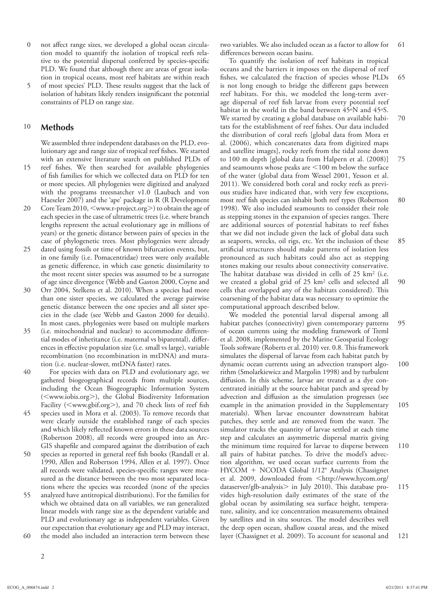- 0 not affect range sizes, we developed a global ocean circulation model to quantify the isolation of tropical reefs relative to the potential dispersal conferred by species-specific PLD. We found that although there are areas of great isolation in tropical oceans, most reef habitats are within reach
- 5 of most species' PLD. These results suggest that the lack of isolation of habitats likely renders insignificant the potential constraints of PLD on range size.

#### 10 **Methods**

 We assembled three independent databases on the PLD, evolutionary age and range size of tropical reef fishes. We started with an extensive literature search on published PLDs of

- 15 reef fishes. We then searched for available phylogenies of fish families for which we collected data on PLD for ten or more species. All phylogenies were digitized and analyzed with the programs treesnatcher v1.0 (Laubach and von Haeseler 2007) and the 'ape' package in R (R Development
- 20 Core Team 2010, <www.r-project.org>) to obtain the age of each species in the case of ultrametric trees (i.e. where branch lengths represent the actual evolutionary age in millions of years) or the genetic distance between pairs of species in the case of phylogenetic trees. Most phylogenies were already
- 25 dated using fossils or time of known bifurcation events, but, in one family (i.e. Pomacentridae) trees were only available as genetic difference, in which case genetic dissimilarity to the most recent sister species was assumed to be a surrogate of age since divergence (Webb and Gaston 2000, Coyne and
- 30 Orr 2004, Stelkens et al. 2010). When a species had more than one sister species, we calculated the average pairwise genetic distance between the one species and all sister species in the clade (see Webb and Gaston 2000 for details). In most cases, phylogenies were based on multiple markers
- 35 (i.e. mitochondrial and nuclear) to accommodate differential modes of inheritance (i.e. maternal vs biparental), differences in effective population size (i.e. small vs large), variable recombination (no recombination in mtDNA) and mutation (i.e. nuclear-slower, mtDNA faster) rates.
- 40 For species with data on PLD and evolutionary age, we gathered biogeographical records from multiple sources, including the Ocean Biogeographic Information System (<www.iobis.org>), the Global Biodiversity Information Facility (<www.gbif.org>), and 70 check lists of reef fish
- 45 species used in Mora et al. (2003). To remove records that were clearly outside the established range of each species and which likely reflected known errors in these data sources (Robertson 2008), all records were grouped into an Arc-GIS shapefile and compared against the distribution of each
- 50 species as reported in general reef fish books (Randall et al. 1990, Allen and Robertson 1994, Allen et al. 1997). Once all records were validated, species-specific ranges were measured as the distance between the two most separated locations where the species was recorded (none of the species
- 55 60 analyzed have antitropical distributions). For the families for which we obtained data on all variables, we ran generalized linear models with range size as the dependent variable and PLD and evolutionary age as independent variables. Given our expectation that evolutionary age and PLD may interact, the model also included an interaction term between these

61 two variables. We also included ocean as a factor to allow for differences between ocean basins.

65 70 75 80 85 90 To quantify the isolation of reef habitats in tropical oceans and the barriers it imposes on the dispersal of reef fishes, we calculated the fraction of species whose PLDs is not long enough to bridge the different gaps between reef habitats. For this, we modeled the long-term average dispersal of reef fish larvae from every potential reef habitat in the world in the band between 45°N and 45°S. We started by creating a global database on available habitats for the establishment of reef fishes. Our data included the distribution of coral reefs [global data from Mora et al. (2006), which concatenates data from digitized maps and satellite images], rocky reefs from the tidal zone down to 100 m depth [global data from Halpern et al. (2008)] and seamounts whose peaks are  $\leq$ 100 m below the surface of the water (global data from Wessel 2001, Yesson et al. 2011). We considered both coral and rocky reefs as previous studies have indicated that, with very few exceptions, most reef fish species can inhabit both reef types (Robertson 1998). We also included seamounts to consider their role as stepping stones in the expansion of species ranges. There are additional sources of potential habitats to reef fishes that we did not include given the lack of global data such as seaports, wrecks, oil rigs, etc. Yet the inclusion of these artificial structures should make patterns of isolation less pronounced as such habitats could also act as stepping stones making our results about connectivity conservative. The habitat database was divided in cells of  $25 \text{ km}^2$  (i.e. we created a global grid of 25 km<sup>2</sup> cells and selected all cells that overlapped any of the habitats considered). This coarsening of the habitat data was necessary to optimize the computational approach described below.

95 100 105 110 115 121 We modeled the potential larval dispersal among all habitat patches (connectivity) given contemporary patterns of ocean currents using the modeling framework of Treml et al. 2008, implemented by the Marine Geospatial Ecology Tools software (Roberts et al. 2010) ver. 0.8. This framework simulates the dispersal of larvae from each habitat patch by dynamic ocean currents using an advection transport algorithm (Smolarkiewicz and Margolin 1998) and by turbulent diffusion. In this scheme, larvae are treated as a dye concentrated initially at the source habitat patch and spread by advection and diffusion as the simulation progresses (see example in the animation provided in the Supplementary materials). When larvae encounter downstream habitat patches, they settle and are removed from the water. The simulator tracks the quantity of larvae settled at each time step and calculates an asymmetric dispersal matrix giving the minimum time required for larvae to disperse between all pairs of habitat patches. To drive the model's advection algorithm, we used ocean surface currents from the HYCOM + NCODA Global 1/12° Analysis (Chassignet et al. 2009, downloaded from <http://www.hycom.org/ dataserver/glb-analysis $>$  in July 2010). This database provides high-resolution daily estimates of the state of the global ocean by assimilating sea surface height, temperature, salinity, and ice concentration measurements obtained by satellites and in situ sources. The model describes well the deep open ocean, shallow coastal areas, and the mixed layer (Chassignet et al. 2009). To account for seasonal and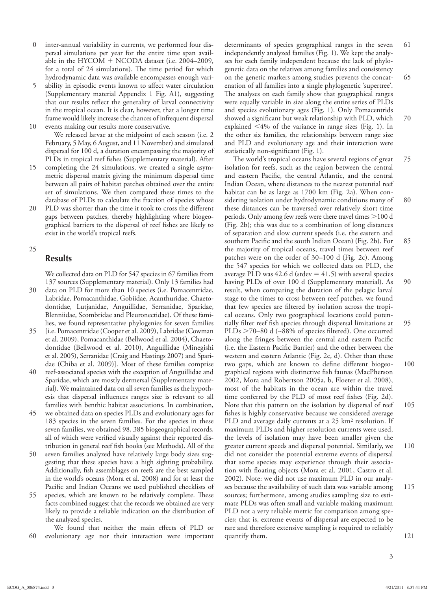- 0 inter-annual variability in currents, we performed four dispersal simulations per year for the entire time span available in the HYCOM + NCODA dataset (i.e. 2004–2009, for a total of 24 simulations). The time period for which hydrodynamic data was available encompasses enough vari-
- 5 10 ability in episodic events known to affect water circulation (Supplementary material Appendix 1 Fig. A1), suggesting that our results reflect the generality of larval connectivity in the tropical ocean. It is clear, however, that a longer time frame would likely increase the chances of infrequent dispersal events making our results more conservative.

 We released larvae at the midpoint of each season (i.e. 2 February, 5 May, 6 August, and 11 November) and simulated dispersal for 100 d, a duration encompassing the majority of PLDs in tropical reef fishes (Supplementary material). After

- 15 completing the 24 simulations, we created a single asymmetric dispersal matrix giving the minimum dispersal time between all pairs of habitat patches obtained over the entire set of simulations. We then compared these times to the database of PLDs to calculate the fraction of species whose
- 20 PLD was shorter than the time it took to cross the different gaps between patches, thereby highlighting where biogeographical barriers to the dispersal of reef fishes are likely to exist in the world's tropical reefs.

### 25

## **Results**

 We collected data on PLD for 547 species in 67 families from 137 sources (Supplementary material). Only 13 families had

- 30 data on PLD for more than 10 species (i.e. Pomacentridae, Labridae, Pomacanthidae, Gobiidae, Acanthuridae, Chaetodontidae, Lutjanidae, Anguillidae, Serranidae, Sparidae, Blenniidae, Scombridae and Pleuronectidae). Of these families, we found representative phylogenies for seven families
- 35 [i.e. Pomacentridae (Cooper et al. 2009), Labridae (Cowman et al. 2009), Pomacanthidae (Bellwood et al. 2004), Chaetodontidae (Bellwood et al. 2010), Anguillidae (Minegishi et al. 2005), Serranidae (Craig and Hastings 2007) and Sparidae (Chiba et al. 2009)]. Most of these families comprise
- 40 reef-associated species with the exception of Anguillidae and Sparidae, which are mostly dermersal (Supplementary material). We maintained data on all seven families as the hypothesis that dispersal influences ranges size is relevant to all families with benthic habitat associations. In combination,
- 45 we obtained data on species PLDs and evolutionary ages for 183 species in the seven families. For the species in these seven families, we obtained 98, 385 biogeographical records, all of which were verified visually against their reported distribution in general reef fish books (see Methods). All of the
- 50 seven families analyzed have relatively large body sizes suggesting that these species have a high sighting probability. Additionally, fish assemblages on reefs are the best sampled in the world's oceans (Mora et al. 2008) and for at least the Pacific and Indian Oceans we used published checklists of
- 55 species, which are known to be relatively complete. These facts combined suggest that the records we obtained are very likely to provide a reliable indication on the distribution of the analyzed species.
- 60 We found that neither the main effects of PLD or evolutionary age nor their interaction were important

61 65 70 determinants of species geographical ranges in the seven independently analyzed families (Fig. 1). We kept the analyses for each family independent because the lack of phylogenetic data on the relatives among families and consistency on the genetic markers among studies prevents the concatenation of all families into a single phylogenetic 'supertree'. The analyses on each family show that geographical ranges were equally variable in size along the entire series of PLDs and species evolutionary ages (Fig. 1). Only Pomacentrids showed a significant but weak relationship with PLD, which explained  $\leq 4\%$  of the variance in range sizes (Fig. 1). In the other six families, the relationships between range size and PLD and evolutionary age and their interaction were statistically non-significant (Fig. 1).

75 80 85 90 95 100 105 110 115 121 The world's tropical oceans have several regions of great isolation for reefs, such as the region between the central and eastern Pacific, the central Atlantic, and the central Indian Ocean, where distances to the nearest potential reef habitat can be as large as 1700 km (Fig. 2a). When considering isolation under hydrodynamic conditions many of these distances can be traversed over relatively short time periods. Only among few reefs were there travel times  $>$  100 d (Fig. 2b); this was due to a combination of long distances of separation and slow current speeds (i.e. the eastern and southern Pacific and the south Indian Ocean) (Fig. 2b). For the majority of tropical oceans, travel times between reef patches were on the order of 30–100 d (Fig. 2c). Among the 547 species for which we collected data on PLD, the average PLD was  $42.6$  d (stdev  $= 41.5$ ) with several species having PLDs of over 100 d (Supplementary material). As result, when comparing the duration of the pelagic larval stage to the times to cross between reef patches, we found that few species are filtered by isolation across the tropical oceans. Only two geographical locations could potentially filter reef fish species through dispersal limitations at PLDs >70–80 d (~88% of species filtered). One occurred along the fringes between the central and eastern Pacific (i.e. the Eastern Pacific Barrier) and the other between the western and eastern Atlantic (Fig. 2c, d). Other than these two gaps, which are known to define different biogeographical regions with distinctive fish faunas (MacPherson 2002, Mora and Robertson 2005a, b, Floeter et al. 2008), most of the habitats in the ocean are within the travel time conferred by the PLD of most reef fishes (Fig. 2d). Note that this pattern on the isolation by dispersal of reef fishes is highly conservative because we considered average PLD and average daily currents at a 25 km<sup>2</sup> resolution. If maximum PLDs and higher resolution currents were used, the levels of isolation may have been smaller given the greater current speeds and dispersal potential. Similarly, we did not consider the potential extreme events of dispersal that some species may experience through their association with floating objects (Mora et al. 2001, Castro et al. 2002). Note: we did not use maximum PLD in our analyses because the availability of such data was variable among sources; furthermore, among studies sampling size to estimate PLDs was often small and variable making maximum PLD not a very reliable metric for comparison among species; that is, extreme events of dispersal are expected to be rare and therefore extensive sampling is required to reliably quantify them.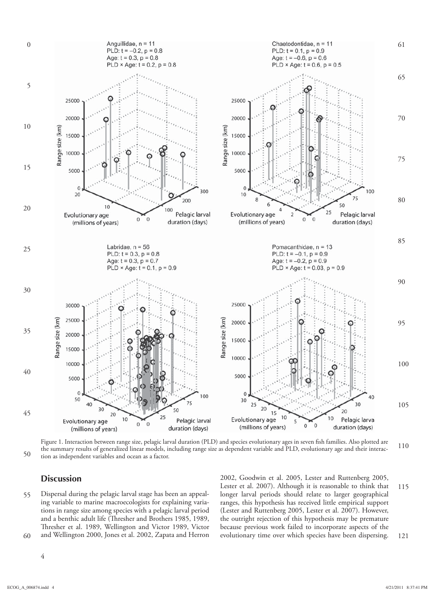

50 110 Figure 1. Interaction between range size, pelagic larval duration (PLD) and species evolutionary ages in seven fish families. Also plotted are the summary results of generalized linear models, including range size as dependent variable and PLD, evolutionary age and their interaction as independent variables and ocean as a factor.

## **Discussion**

55 60 Dispersal during the pelagic larval stage has been an appealing variable to marine macroecologists for explaining variations in range size among species with a pelagic larval period and a benthic adult life (Thresher and Brothers 1985, 1989, Thresher et al. 1989, Wellington and Victor 1989, Victor and Wellington 2000, Jones et al. 2002, Zapata and Herron

115 121 2002, Goodwin et al. 2005, Lester and Ruttenberg 2005, Lester et al. 2007). Although it is reasonable to think that longer larval periods should relate to larger geographical ranges, this hypothesis has received little empirical support (Lester and Ruttenberg 2005, Lester et al. 2007). However, the outright rejection of this hypothesis may be premature because previous work failed to incorporate aspects of the evolutionary time over which species have been dispersing.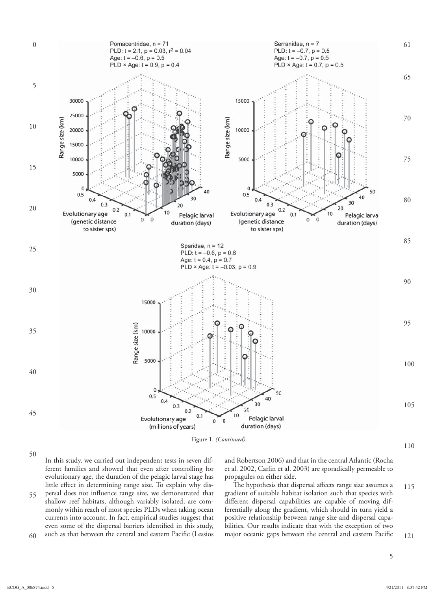

50

In this study, we carried out independent tests in seven different families and showed that even after controlling for evolutionary age, the duration of the pelagic larval stage has little effect in determining range size. To explain why dis-

55 60 persal does not influence range size, we demonstrated that shallow reef habitats, although variably isolated, are commonly within reach of most species PLDs when taking ocean currents into account. In fact, empirical studies suggest that even some of the dispersal barriers identified in this study, such as that between the central and eastern Pacific (Lessios and Robertson 2006) and that in the central Atlantic (Rocha et al. 2002, Carlin et al. 2003) are sporadically permeable to propagules on either side.

115 121 The hypothesis that dispersal affects range size assumes a gradient of suitable habitat isolation such that species with different dispersal capabilities are capable of moving differentially along the gradient, which should in turn yield a positive relationship between range size and dispersal capabilities. Our results indicate that with the exception of two major oceanic gaps between the central and eastern Pacific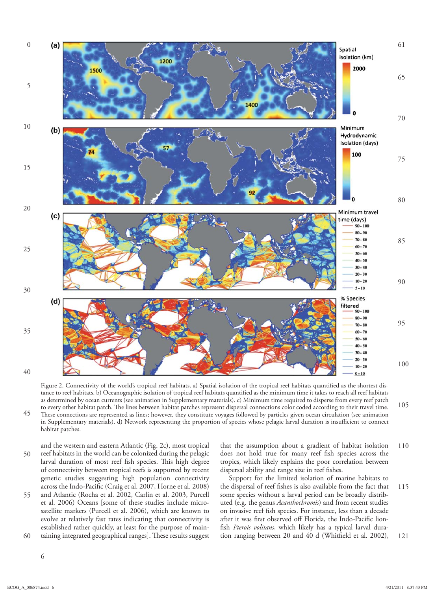

105 Figure 2. Connectivity of the world's tropical reef habitats. a) Spatial isolation of the tropical reef habitats quantified as the shortest distance to reef habitats. b) Oceanographic isolation of tropical reef habitats quantified as the minimum time it takes to reach all reef habitats as determined by ocean currents (see animation in Supplementary materials). c) Minimum time required to disperse from every reef patch to every other habitat patch. The lines between habitat patches represent dispersal connections color coded according to their travel time. These connections are represented as lines; however, they constitute voyages followed by particles given ocean circulation (see animation in Supplementary materials). d) Network representing the proportion of species whose pelagic larval duration is insufficient to connect habitat patches.

50 and the western and eastern Atlantic (Fig. 2c), most tropical reef habitats in the world can be colonized during the pelagic larval duration of most reef fish species. This high degree of connectivity between tropical reefs is supported by recent genetic studies suggesting high population connectivity across the Indo-Pacific (Craig et al. 2007, Horne et al. 2008) and Atlantic (Rocha et al. 2002, Carlin et al. 2003, Purcell

55 60 et al. 2006) Oceans [some of these studies include microsatellite markers (Purcell et al. 2006), which are known to evolve at relatively fast rates indicating that connectivity is established rather quickly, at least for the purpose of maintaining integrated geographical ranges]. These results suggest

6

110 that the assumption about a gradient of habitat isolation does not hold true for many reef fish species across the tropics, which likely explains the poor correlation between dispersal ability and range size in reef fishes.

115 121 Support for the limited isolation of marine habitats to the dispersal of reef fishes is also available from the fact that some species without a larval period can be broadly distributed (e.g. the genus *Acanthochromis* ) and from recent studies on invasive reef fish species. For instance, less than a decade after it was first observed off Florida, the Indo-Pacific lionfish Pterois volitans, which likely has a typical larval duration ranging between 20 and 40 d (Whitfield et al. 2002),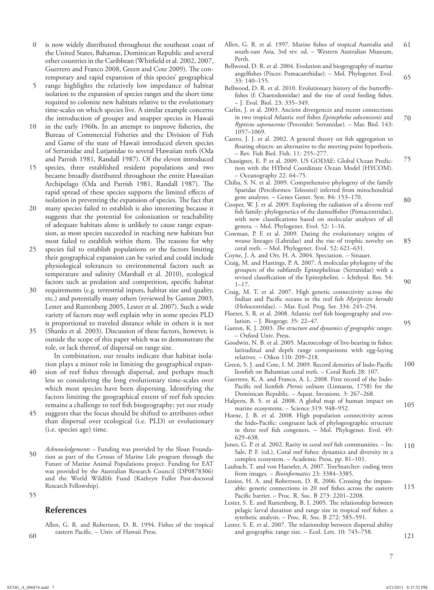- 0 is now widely distributed throughout the southeast coast of the United States, Bahamas, Dominican Republic and several other countries in the Caribbean (Whitfield et al. 2002, 2007, Guerrero and Franco 2008, Green and Cote 2009). The contemporary and rapid expansion of this species' geographical
- 5 range highlights the relatively low impedance of habitat isolation to the expansion of species ranges and the short time required to colonize new habitats relative to the evolutionary time-scales on which species live. A similar example concerns the introduction of grouper and snapper species in Hawaii
- 10 in the early 1960s. In an attempt to improve fisheries, the Bureau of Commercial Fisheries and the Division of Fish and Game of the state of Hawaii introduced eleven species of Serranidae and Lutjanidae to several Hawaiian reefs (Oda and Parrish 1981, Randall 1987). Of the eleven introduced
- 15 species, three established resident populations and two became broadly distributed throughout the entire Hawaiian Archipelago (Oda and Parrish 1981, Randall 1987). The rapid spread of these species supports the limited effects of isolation in preventing the expansion of species. The fact that
- 20 many species failed to establish is also interesting because it suggests that the potential for colonization or reachability of adequate habitats alone is unlikely to cause range expansion, as most species succeeded in reaching new habitats but most failed to establish within them. The reasons for why
- 25 species fail to establish populations or the factors limiting their geographical expansion can be varied and could include physiological tolerances to environmental factors such as temperature and salinity (Marshall et al. 2010), ecological factors such as predation and competition, specific habitat
- 30 requirements (e.g. terrestrial inputs, habitat size and quality, etc.) and potentially many others (reviewed by Gaston 2003, Lester and Ruttenberg 2005, Lester et al. 2007). Such a wide variety of factors may well explain why in some species PLD is proportional to traveled distance while in others it is not
- 35 (Shanks et al. 2003). Discussion of these factors, however, is outside the scope of this paper which was to demonstrate the role, or lack thereof, of dispersal on range size.

 In combination, our results indicate that habitat isolation plays a minor role in limiting the geographical expan-

- 40 sion of reef fishes through dispersal, and perhaps much less so considering the long evolutionary time-scales over which most species have been dispersing. Identifying the factors limiting the geographical extent of reef fish species remains a challenge to reef fish biogeography; yet our study
- 45 suggests that the focus should be shifted to attributes other than dispersal over ecological (i.e. PLD) or evolutionary (i.e. species age) time.
- 50  *Acknowledgements –* Funding was provided by the Sloan Foundation as part of the Census of Marine Life program through the Future of Marine Animal Populations project. Funding for EAT was provided by the Australian Research Council (DP0878306) and the World Wildlife Fund (Kathryn Fuller Post-doctoral Research Fellowship).
- 55

# **References**

 Allen, G. R. and Robertson, D. R. 1994. Fishes of the tropical eastern Pacific. – Univ. of Hawaii Press.

- 61 Allen, G. R. et al. 1997. Marine fishes of tropical Australia and south-east Asia, 3rd rev. ed. – Western Australian Museum, Perth.
- Bellwood, D. R. et al. 2004. Evolution and biogeography of marine angelfishes (Pisces: Pomacanthidae). – Mol. Phylogenet. Evol. 33: 140–155.
- Bellwood, D. R. et al. 2010. Evolutionary history of the butterflyfishes (f: Chaetodontidae) and the rise of coral feeding fishes. – J. Evol. Biol. 23: 335–349.
- 70 Carlin, J. et al. 2003. Ancient divergences and recent connections in two tropical Atlantic reef fishes *Epinephelus adscensionis* and *Rypticus saponaceous* (Percoidei: Serranidae). – Mar. Biol. 143: 1057–1069.
- Castro, J. J. et al. 2002. A general theory on fish aggregation to floating objects: an alternative to the meeting point hypothesis. – Rev. Fish Biol. Fish. 11: 255–277.
- 75 Chassignet, E. P. et al. 2009. US GODAE: Global Ocean Prediction with the HYbrid Coordinate Ocean Model (HYCOM). – Oceanography 22: 64–75.

 Chiba, S. N. et al. 2009. Comprehensive phylogeny of the family Sparidae (Perciformes: Teleostei) inferred from mitochondrial gene analyses. – Genes Genet. Syst. 84: 153–170.

- Cooper, W. J. et al. 2009. Exploring the radiation of a diverse reef fish family: phylogenetics of the damselfishes (Pomacentridae), with new classifications based on molecular analyses of all genera. – Mol. Phylogenet. Evol. 52: 1–16.
- 85 Cowman, P. F. et al. 2009. Dating the evolutionary origins of wrasse lineages (Labridae) and the rise of trophic novelty on coral reefs. – Mol. Phylogenet. Evol. 52: 621–631.
- Coyne, J. A. and Orr, H. A. 2004. Speciation. Sinauer. Craig, M. and Hastings, P. A. 2007. A molecular phylogeny of the groupers of the subfamily Epinephelinae (Serranidae) with a revised classification of the Epinephelini. - Ichthyol. Res. 54: 1–17.
- Craig, M. T. et al. 2007. High genetic connectivity across the Indian and Pacific oceans in the reef fish *Myripristis berndti* (Holocentridae). – Mar. Ecol. Prog. Ser. 334: 245–254.
- Floeter, S. R. et al. 2008. Atlantic reef fish biogeography and evolution. – J. Biogeogr. 35: 22–47.
- Gaston, K. J. 2003. *The structure and dynamics of geographic ranges*. – Oxford Univ. Press.
- Goodwin, N. B. et al. 2005. Macroecology of live-bearing in fishes: latitudinal and depth range comparisons with egg-laying relatives. – Oikos 110: 209–218.
- 100 Green, S. J. and Cote, I. M. 2009. Record densities of Indo-Pacific lionfish on Bahamian coral reefs. - Coral Reefs 28: 107.

 Guerrero, K. A. and Franco, A. L. 2008. First record of the Indo-Pacific red lionfish *Pterois volitans* (Linnaeus, 1758) for the Dominican Republic. – Aquat. Invasions. 3: 267–268.

- 105 Halpern, B. S. et al. 2008. A global map of human impact on marine ecosystems. – Science 319: 948–952.
- Horne, J. B. et al. 2008. High population connectivity across the Indo-Pacific: congruent lack of phylogeographic structure in three reef fish congeners. - Mol. Phylogenet. Evol. 49: 629–638.
- 110 Jones, G. P. et al. 2002. Rarity in coral reef fish communities. - In: Sale, P. F. (ed.), Coral reef fishes: dynamics and diversity in a complex ecosystem. – Academic Press, pp. 81–101.
- Laubach, T. and von Haeseler, A. 2007. TreeSnatcher: coding trees from images. – *Bioinformatics* 23: 3384–3385.
- 115 Lessios, H. A. and Robertson, D. R. 2006. Crossing the impassable: genetic connections in 20 reef fishes across the eastern Pacific barrier. - Proc. R. Soc. B 273: 2201-2208.

Lester, S. E. and Ruttenberg, B. I. 2005. The relationship between pelagic larval duration and range size in tropical reef fishes: a synthetic analysis. – Proc. R. Soc. B 272: 585–591.

Lester, S. E. et al. 2007. The relationship between dispersal ability and geographic range size. – Ecol. Lett. 10: 745–758.

121

7

65

80

90